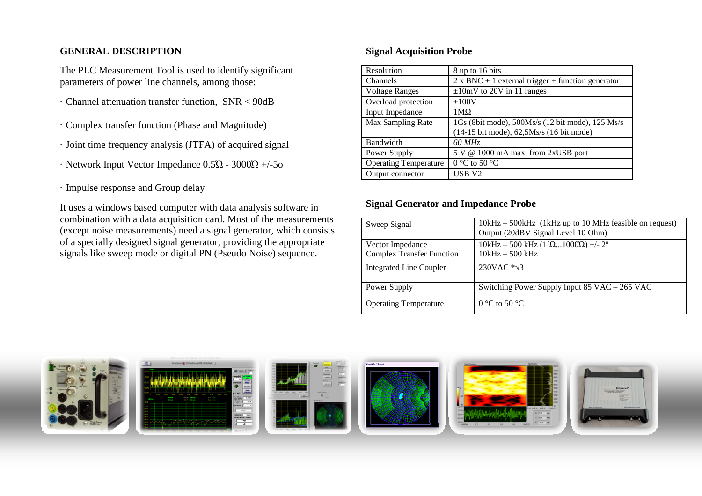## **GENERAL DESCRIPTION**

The PLC Measurement Tool is used to identify significant parameters of power line channels, among those:

- · Channel attenuation transfer function, SNR < 90dB
- · Complex transfer function (Phase and Magnitude)
- · Joint time frequency analysis (JTFA) of acquired signal
- · Network Input Vector Impedance 0.5Ώ 3000Ώ +/-5o
- · Impulse response and Group delay

It uses a windows based computer with data analysis software in combination with a data acquisition card. Most of the measurements (except noise measurements) need a signal generator, which consists of a specially designed signal generator, providing the appropriate signals like sweep mode or digital PN (Pseudo Noise) sequence.

## **Signal Acquisition Probe**

| Resolution                   | 8 up to 16 bits                                          |
|------------------------------|----------------------------------------------------------|
| Channels                     | $2 \times BNC + 1$ external trigger + function generator |
| <b>Voltage Ranges</b>        | $\pm 10$ mV to 20V in 11 ranges                          |
| Overload protection          | ±100V                                                    |
| Input Impedance              | $1\text{M}\Omega$                                        |
| Max Sampling Rate            | 1Gs (8bit mode), 500Ms/s (12 bit mode), 125 Ms/s         |
|                              | (14-15 bit mode), 62,5Ms/s (16 bit mode)                 |
| Bandwidth                    | 60 MHz                                                   |
| Power Supply                 | 5 V @ 1000 mA max. from 2xUSB port                       |
| <b>Operating Temperature</b> | $0^{\circ}$ C to 50 $^{\circ}$ C                         |
| Output connector             | USB <sub>V2</sub>                                        |

## **Signal Generator and Impedance Probe**

| Sweep Signal                     | 10kHz – 500kHz (1kHz up to 10 MHz feasible on request)<br>Output (20dBV Signal Level 10 Ohm) |
|----------------------------------|----------------------------------------------------------------------------------------------|
| Vector Impedance                 | $10kHz - 500 kHz (1'\Omega1000\Omega)$ +/- 2°                                                |
| <b>Complex Transfer Function</b> | $10kHz - 500kHz$                                                                             |
| Integrated Line Coupler          | 230VAC $\sqrt[*]{3}$                                                                         |
| Power Supply                     | Switching Power Supply Input 85 VAC – 265 VAC                                                |
| <b>Operating Temperature</b>     | $0^{\circ}$ C to 50 $^{\circ}$ C                                                             |